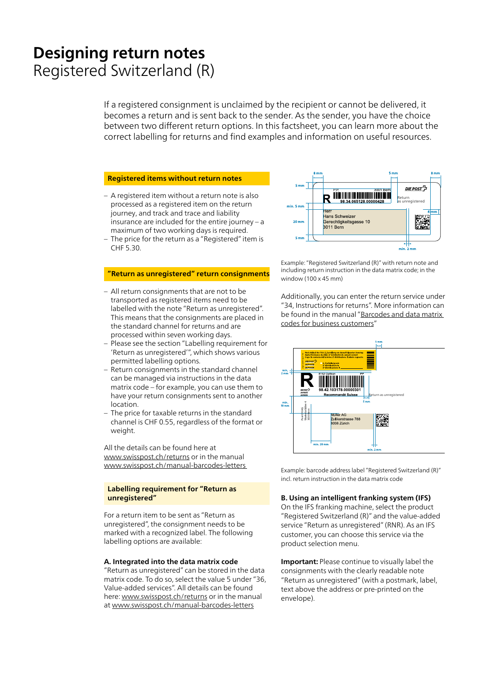# **Designing return notes** Registered Switzerland (R)

If a registered consignment is unclaimed by the recipient or cannot be delivered, it becomes a return and is sent back to the sender. As the sender, you have the choice between two different return options. In this factsheet, you can learn more about the correct labelling for returns and find examples and information on useful resources.

#### **Registered items without return notes**

- A registered item without a return note is also processed as a registered item on the return journey, and track and trace and liability insurance are included for the entire journey – a maximum of two working days is required.
- The price for the return as a "Registered" item is CHF 5.30.

#### **"Return as unregistered" return consignments**

- All return consignments that are not to be transported as registered items need to be labelled with the note "Return as unregistered". This means that the consignments are placed in the standard channel for returns and are processed within seven working days.
- Please see the section "Labelling requirement for 'Return as unregistered'", which shows various permitted labelling options.
- Return consignments in the standard channel can be managed via instructions in the data matrix code – for example, you can use them to have your return consignments sent to another location.
- The price for taxable returns in the standard channel is CHF 0.55, regardless of the format or weight.

All the details can be found here at [www.swisspost.ch/returns](https://www.swisspost.ch/returns) or in the manual [www.swisspost.ch/manual-barcodes-letters](https://www.swisspost.ch/manual-barcodes-letters) 

#### **Labelling requirement for "Return as unregistered"**

For a return item to be sent as "Return as unregistered", the consignment needs to be marked with a recognized label. The following labelling options are available:

#### **A. Integrated into the data matrix code**

"Return as unregistered" can be stored in the data matrix code. To do so, select the value 5 under "36, Value-added services". All details can be found here: [www.swisspost.ch/returns](https://www.swisspost.ch/returns) or in the manual at [www.swisspost.ch/manual-barcodes-letters](https://www.swisspost.ch/manual-barcodes-letters)



Example: "Registered Switzerland (R)" with return note and including return instruction in the data matrix code; in the window (100 x 45 mm)

Additionally, you can enter the return service under "34, Instructions for returns". More information can [be found in the manual "Barcodes and data matrix](https://www.swisspost.ch/manual-barcodes-letters)  codes for business customers"



Example: barcode address label "Registered Switzerland (R)" incl. return instruction in the data matrix code

## **B. Using an intelligent franking system (IFS)**

On the IFS franking machine, select the product "Registered Switzerland (R)" and the value-added service "Return as unregistered" (RNR). As an IFS customer, you can choose this service via the product selection menu.

**Important:** Please continue to visually label the consignments with the clearly readable note "Return as unregistered" (with a postmark, label, text above the address or pre-printed on the envelope).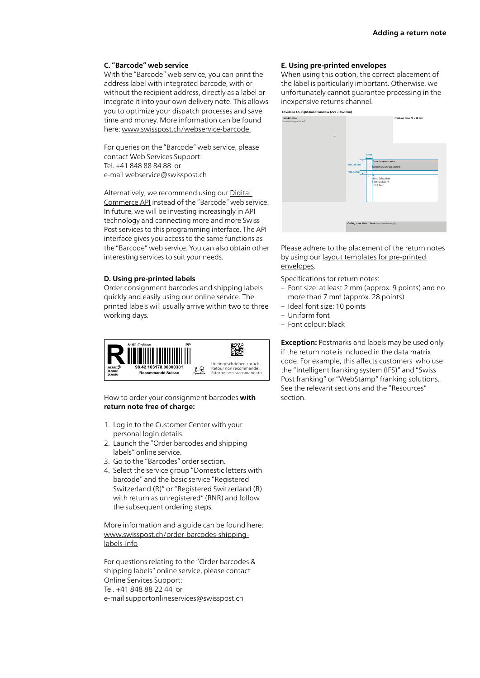# **C. "Barcode" web service**

With the "Barcode" web service, you can print the address label with integrated barcode, with or without the recipient address, directly as a label or integrate it into your own delivery note. This allows you to optimize your dispatch processes and save time and money. More information can be found here: [www.swisspost.ch/webservice-barcode](https://www.swisspost.ch/webservice-barcode)

For queries on the "Barcode" web service, please contact Web Services Support: Tel. +41 848 88 84 88 or e-mail [webservice@swisspost.ch](mailto:webservice@swisspost.ch)

[Alternatively, we recommend using our Digital](https://www.swisspost.ch/en/business-solutions/digital-commerce/digital-commerce-api/personalized-api-integration) Commerce API instead of the "Barcode" web service. In future, we will be investing increasingly in API technology and connecting more and more Swiss Post services to this programming interface. The API interface gives you access to the same functions as the "Barcode" web service. You can also obtain other interesting services to suit your needs.

### **D. Using pre-printed labels**

Order consignment barcodes and shipping labels quickly and easily using our online service. The printed labels will usually arrive within two to three working days.



How to order your consignment barcodes **with return note free of charge:**

- 1. Log in to the Customer Center with your personal login details.
- 2. Launch the "Order barcodes and shipping labels" online service.
- 3. Go to the "Barcodes" order section.
- 4. Select the service group "Domestic letters with barcode" and the basic service "Registered Switzerland (R)" or "Registered Switzerland (R) with return as unregistered" (RNR) and follow the subsequent ordering steps.

More information and a guide can be found here: [www.swisspost.ch/order-barcodes-shipping](https://www.swisspost.ch/order-barcodes-shipping-labels-info)labels-info

For questions relating to the "Order barcodes & shipping labels" online service, please contact Online Services Support: Tel. +41 848 88 22 44 or e-mail [supportonlineservices@swisspost.ch](mailto:supportonlineservices@swisspost.ch)

#### **E. Using pre-printed envelopes**

When using this option, the correct placement of the label is particularly important. Otherwise, we unfortunately cannot guarantee processing in the inexpensive returns channel.



Please adhere to the placement of the return notes [by using our layout templates for pre-printed](https://www.swisspost.ch/en/sending-letters/addressing-and-designing/designing-and-packaging-letters#templates)  envelopes.

Specifications for return notes:

- Font size: at least 2 mm (approx. 9 points) and no more than 7 mm (approx. 28 points)
- Ideal font size: 10 points
- Uniform font
- Font colour: black

**Exception:** Postmarks and labels may be used only if the return note is included in the data matrix code. For example, this affects customers who use the "Intelligent franking system (IFS)" and "Swiss Post franking" or "WebStamp" franking solutions. See the relevant sections and the "Resources" section.